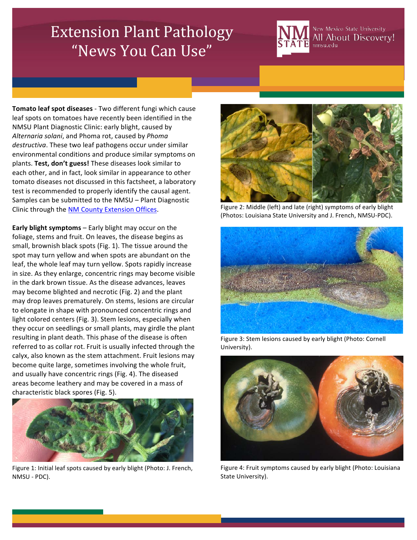## **Extension Plant Pathology** "News You Can Use"



New Mexico State University All About Discovery! nmsu.edu

Tomato leaf spot diseases - Two different fungi which cause leaf spots on tomatoes have recently been identified in the NMSU Plant Diagnostic Clinic: early blight, caused by Alternaria solani, and Phoma rot, caused by Phoma destructiva. These two leaf pathogens occur under similar environmental conditions and produce similar symptoms on plants. Test, don't guess! These diseases look similar to each other, and in fact, look similar in appearance to other tomato diseases not discussed in this factsheet, a laboratory test is recommended to properly identify the causal agent. Samples can be submitted to the NMSU – Plant Diagnostic Clinic through the NM County Extension Offices.

**Early blight symptoms** – Early blight may occur on the foliage, stems and fruit. On leaves, the disease begins as small, brownish black spots (Fig. 1). The tissue around the spot may turn yellow and when spots are abundant on the leaf, the whole leaf may turn yellow. Spots rapidly increase in size. As they enlarge, concentric rings may become visible in the dark brown tissue. As the disease advances, leaves may become blighted and necrotic (Fig. 2) and the plant may drop leaves prematurely. On stems, lesions are circular to elongate in shape with pronounced concentric rings and light colored centers (Fig. 3). Stem lesions, especially when they occur on seedlings or small plants, may girdle the plant resulting in plant death. This phase of the disease is often referred to as collar rot. Fruit is usually infected through the calyx, also known as the stem attachment. Fruit lesions may become quite large, sometimes involving the whole fruit, and usually have concentric rings (Fig. 4). The diseased areas become leathery and may be covered in a mass of characteristic black spores (Fig. 5).



Figure 1: Initial leaf spots caused by early blight (Photo: J. French, NMSU - PDC).



Figure 2: Middle (left) and late (right) symptoms of early blight (Photos: Louisiana State University and J. French, NMSU-PDC).



Figure 3: Stem lesions caused by early blight (Photo: Cornell University).



Figure 4: Fruit symptoms caused by early blight (Photo: Louisiana State University).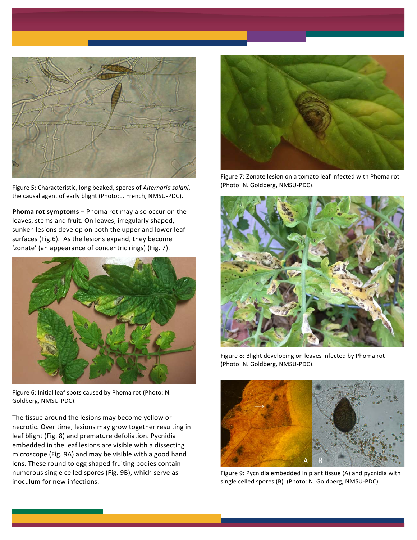

Figure 5: Characteristic, long beaked, spores of Alternaria solani, the causal agent of early blight (Photo: J. French, NMSU-PDC).

**Phoma rot symptoms** – Phoma rot may also occur on the leaves, stems and fruit. On leaves, irregularly shaped, sunken lesions develop on both the upper and lower leaf surfaces (Fig.6). As the lesions expand, they become 'zonate' (an appearance of concentric rings) (Fig. 7).



Figure 6: Initial leaf spots caused by Phoma rot (Photo: N. Goldberg, NMSU-PDC).

The tissue around the lesions may become yellow or necrotic. Over time, lesions may grow together resulting in leaf blight (Fig. 8) and premature defoliation. Pycnidia embedded in the leaf lesions are visible with a dissecting microscope (Fig. 9A) and may be visible with a good hand lens. These round to egg shaped fruiting bodies contain numerous single celled spores (Fig. 9B), which serve as inoculum for new infections.



Figure 7: Zonate lesion on a tomato leaf infected with Phoma rot (Photo: N. Goldberg, NMSU-PDC).



Figure 8: Blight developing on leaves infected by Phoma rot (Photo: N. Goldberg, NMSU-PDC).



Figure 9: Pycnidia embedded in plant tissue (A) and pycnidia with single celled spores (B) (Photo: N. Goldberg, NMSU-PDC).